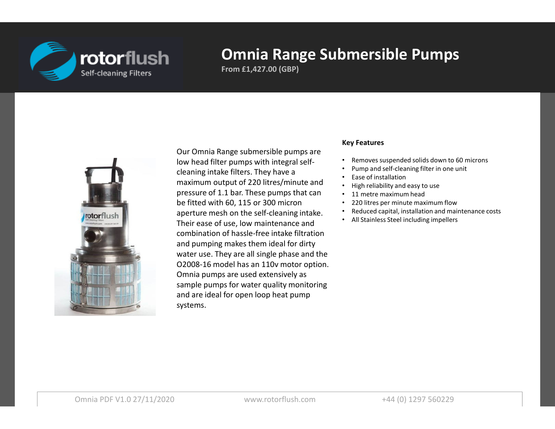

**From £1,427.00 (GBP)**



Our Omnia Range submersible pumps are low head filter pumps with integral selfcleaning intake filters. They have a maximum output of 220 litres/minute and pressure of 1.1 bar. These pumps that can be fitted with 60, 115 or 300 micron aperture mesh on the self-cleaning intake.Their ease of use, low maintenance and combination of hassle-free intake filtration and pumping makes them ideal for dirty water use. They are all single phase and the O2008-16 model has an 110v motor option.Omnia pumps are used extensively as sample pumps for water quality monitoring and are ideal for open loop heat pump systems.

#### **Key Features**

- •Removes suspended solids down to 60 microns
- •Pump and self-cleaning filter in one unit
- •Ease of installation
- High reliability and easy to use •
- 11 metre maximum head
- 220 litres per minute maximum flow•
- Reduced capital, installation and maintenance costs•
- All Stainless Steel including impellers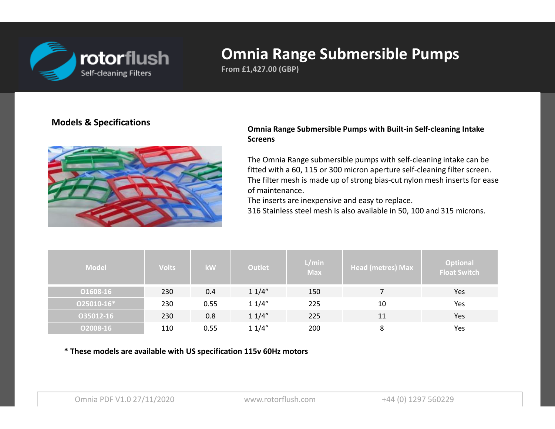

**From £1,427.00 (GBP)**

#### **Models & Specifications**



#### **Omnia Range Submersible Pumps with Built-in Self-cleaning Intake Screens**

The Omnia Range submersible pumps with self-cleaning intake can be fitted with a 60, 115 or 300 micron aperture self-cleaning filter screen.The filter mesh is made up of strong bias-cut nylon mesh inserts for ease of maintenance.

The inserts are inexpensive and easy to replace.

316 Stainless steel mesh is also available in 50, 100 and 315 microns.

| <b>Model</b> | <b>Volts</b> | <b>kW</b> | <b>Outlet</b> | L/min<br><b>Max</b> | <b>Head (metres) Max</b> | <b>Optional</b><br><b>Float Switch</b> |
|--------------|--------------|-----------|---------------|---------------------|--------------------------|----------------------------------------|
| 01608-16     | 230          | 0.4       | 11/4"         | 150                 |                          | Yes                                    |
| 025010-16*   | 230          | 0.55      | 11/4"         | 225                 | 10                       | Yes                                    |
| 035012-16    | 230          | 0.8       | 11/4"         | 225                 | 11                       | Yes                                    |
| 02008-16     | 110          | 0.55      | 11/4"         | 200                 | 8                        | Yes                                    |

**\* These models are available with US specification 115v 60Hz motors**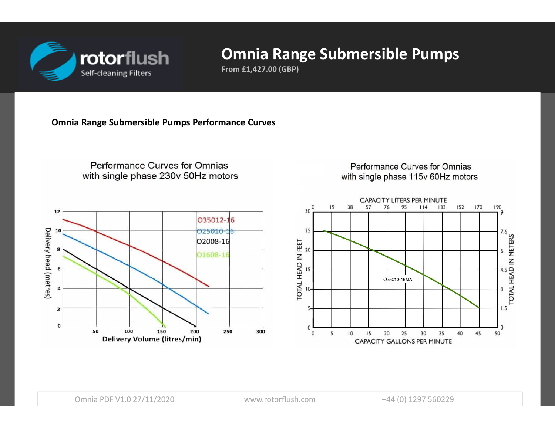

**From £1,427.00 (GBP)**

**Omnia Range Submersible Pumps Performance Curves**



Performance Curves for Omnias with single phase 115v 60Hz motors

 $114$ 

 $133$ 

152

170

190

9

**AND IN METERS**<br>TOTAL HEAD IN METERS

 $1.5$ 

 $\mathbf{0}$ 

50

**Delivery Volume (litres/min)** 

30

**CAPACITY GALLONS PER MINUTE** 

35

40

45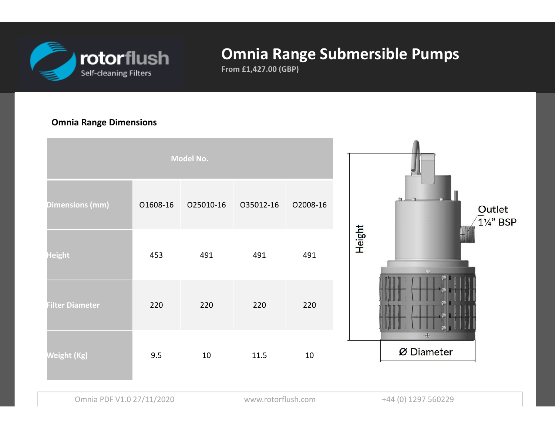

**From £1,427.00 (GBP)**

#### **Omnia Range Dimensions**

| Model No.              |          |           |           |          |                            |
|------------------------|----------|-----------|-----------|----------|----------------------------|
| <b>Dimensions (mm)</b> | 01608-16 | 025010-16 | 035012-16 | 02008-16 | Outlet<br><b>11/4" BSP</b> |
| <b>Height</b>          | 453      | 491       | 491       | 491      | <b>Height</b>              |
| <b>Filter Diameter</b> | 220      | 220       | 220       | 220      |                            |
| Weight (Kg)            | 9.5      | 10        | 11.5      | $10\,$   | Ø Diameter                 |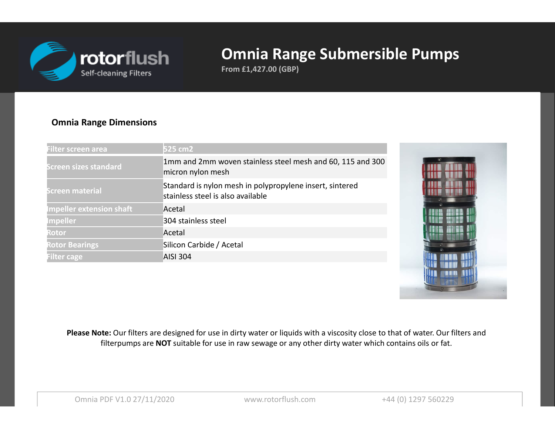

**From £1,427.00 (GBP)**

#### **Omnia Range Dimensions**

| Filter screen area              | 525 cm2                                                                                       |
|---------------------------------|-----------------------------------------------------------------------------------------------|
| <b>Screen sizes standard</b>    | 1mm and 2mm woven stainless steel mesh and 60, 115 and 300<br>micron nylon mesh               |
| <b>Screen material</b>          | Standard is nylon mesh in polypropylene insert, sintered<br>stainless steel is also available |
| <b>Impeller extension shaft</b> | Acetal                                                                                        |
| <b>Impeller</b>                 | 304 stainless steel                                                                           |
| <b>Rotor</b>                    | Acetal                                                                                        |
| <b>Rotor Bearings</b>           | Silicon Carbide / Acetal                                                                      |
| <b>Filter cage</b>              | <b>AISI 304</b>                                                                               |



Please Note: Our filters are designed for use in dirty water or liquids with a viscosity close to that of water. Our filters and filterpumps are **NOT** suitable for use in raw sewage or any other dirty water which contains oils or fat.